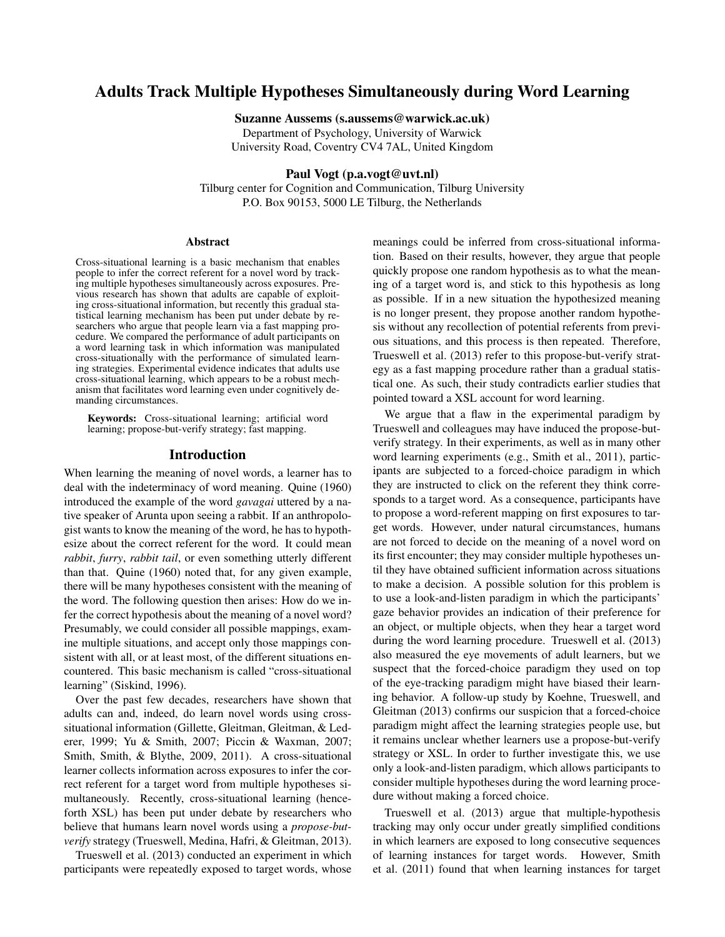# Adults Track Multiple Hypotheses Simultaneously during Word Learning

Suzanne Aussems (s.aussems@warwick.ac.uk)

Department of Psychology, University of Warwick University Road, Coventry CV4 7AL, United Kingdom

## Paul Vogt (p.a.vogt@uvt.nl)

Tilburg center for Cognition and Communication, Tilburg University P.O. Box 90153, 5000 LE Tilburg, the Netherlands

#### Abstract

Cross-situational learning is a basic mechanism that enables people to infer the correct referent for a novel word by tracking multiple hypotheses simultaneously across exposures. Previous research has shown that adults are capable of exploiting cross-situational information, but recently this gradual statistical learning mechanism has been put under debate by researchers who argue that people learn via a fast mapping procedure. We compared the performance of adult participants on a word learning task in which information was manipulated cross-situationally with the performance of simulated learning strategies. Experimental evidence indicates that adults use cross-situational learning, which appears to be a robust mechanism that facilitates word learning even under cognitively demanding circumstances.

Keywords: Cross-situational learning; artificial word learning; propose-but-verify strategy; fast mapping.

#### Introduction

When learning the meaning of novel words, a learner has to deal with the indeterminacy of word meaning. Quine (1960) introduced the example of the word *gavagai* uttered by a native speaker of Arunta upon seeing a rabbit. If an anthropologist wants to know the meaning of the word, he has to hypothesize about the correct referent for the word. It could mean *rabbit*, *furry*, *rabbit tail*, or even something utterly different than that. Quine (1960) noted that, for any given example, there will be many hypotheses consistent with the meaning of the word. The following question then arises: How do we infer the correct hypothesis about the meaning of a novel word? Presumably, we could consider all possible mappings, examine multiple situations, and accept only those mappings consistent with all, or at least most, of the different situations encountered. This basic mechanism is called "cross-situational learning" (Siskind, 1996).

Over the past few decades, researchers have shown that adults can and, indeed, do learn novel words using crosssituational information (Gillette, Gleitman, Gleitman, & Lederer, 1999; Yu & Smith, 2007; Piccin & Waxman, 2007; Smith, Smith, & Blythe, 2009, 2011). A cross-situational learner collects information across exposures to infer the correct referent for a target word from multiple hypotheses simultaneously. Recently, cross-situational learning (henceforth XSL) has been put under debate by researchers who believe that humans learn novel words using a *propose-butverify* strategy (Trueswell, Medina, Hafri, & Gleitman, 2013).

Trueswell et al. (2013) conducted an experiment in which participants were repeatedly exposed to target words, whose meanings could be inferred from cross-situational information. Based on their results, however, they argue that people quickly propose one random hypothesis as to what the meaning of a target word is, and stick to this hypothesis as long as possible. If in a new situation the hypothesized meaning is no longer present, they propose another random hypothesis without any recollection of potential referents from previous situations, and this process is then repeated. Therefore, Trueswell et al. (2013) refer to this propose-but-verify strategy as a fast mapping procedure rather than a gradual statistical one. As such, their study contradicts earlier studies that pointed toward a XSL account for word learning.

We argue that a flaw in the experimental paradigm by Trueswell and colleagues may have induced the propose-butverify strategy. In their experiments, as well as in many other word learning experiments (e.g., Smith et al., 2011), participants are subjected to a forced-choice paradigm in which they are instructed to click on the referent they think corresponds to a target word. As a consequence, participants have to propose a word-referent mapping on first exposures to target words. However, under natural circumstances, humans are not forced to decide on the meaning of a novel word on its first encounter; they may consider multiple hypotheses until they have obtained sufficient information across situations to make a decision. A possible solution for this problem is to use a look-and-listen paradigm in which the participants' gaze behavior provides an indication of their preference for an object, or multiple objects, when they hear a target word during the word learning procedure. Trueswell et al. (2013) also measured the eye movements of adult learners, but we suspect that the forced-choice paradigm they used on top of the eye-tracking paradigm might have biased their learning behavior. A follow-up study by Koehne, Trueswell, and Gleitman (2013) confirms our suspicion that a forced-choice paradigm might affect the learning strategies people use, but it remains unclear whether learners use a propose-but-verify strategy or XSL. In order to further investigate this, we use only a look-and-listen paradigm, which allows participants to consider multiple hypotheses during the word learning procedure without making a forced choice.

Trueswell et al. (2013) argue that multiple-hypothesis tracking may only occur under greatly simplified conditions in which learners are exposed to long consecutive sequences of learning instances for target words. However, Smith et al. (2011) found that when learning instances for target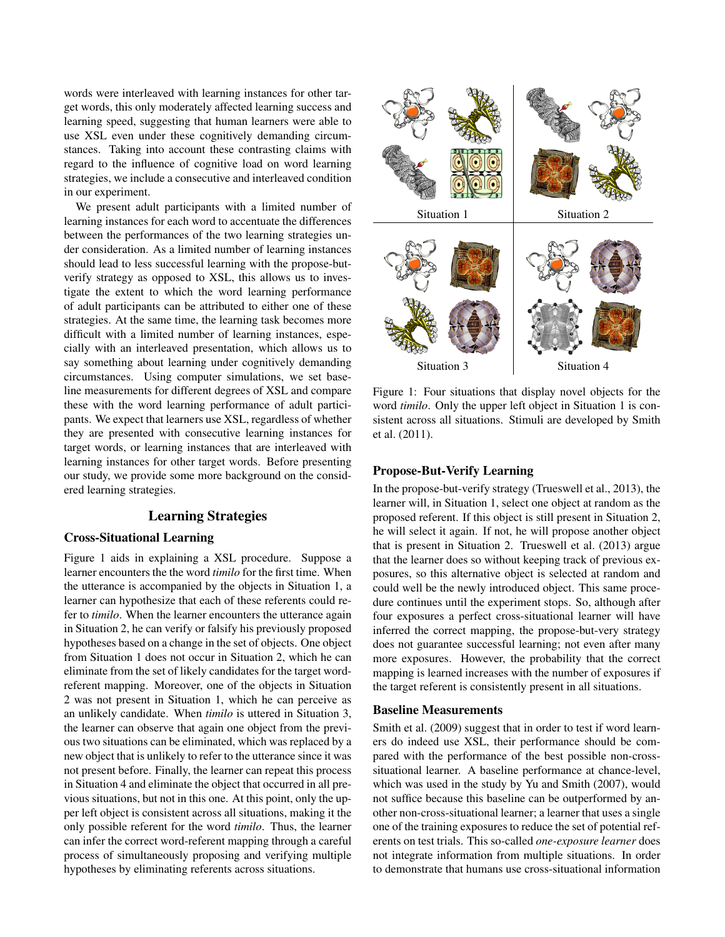words were interleaved with learning instances for other target words, this only moderately affected learning success and learning speed, suggesting that human learners were able to use XSL even under these cognitively demanding circumstances. Taking into account these contrasting claims with regard to the influence of cognitive load on word learning strategies, we include a consecutive and interleaved condition in our experiment.

We present adult participants with a limited number of learning instances for each word to accentuate the differences between the performances of the two learning strategies under consideration. As a limited number of learning instances should lead to less successful learning with the propose-butverify strategy as opposed to XSL, this allows us to investigate the extent to which the word learning performance of adult participants can be attributed to either one of these strategies. At the same time, the learning task becomes more difficult with a limited number of learning instances, especially with an interleaved presentation, which allows us to say something about learning under cognitively demanding circumstances. Using computer simulations, we set baseline measurements for different degrees of XSL and compare these with the word learning performance of adult participants. We expect that learners use XSL, regardless of whether they are presented with consecutive learning instances for target words, or learning instances that are interleaved with learning instances for other target words. Before presenting our study, we provide some more background on the considered learning strategies.

# Learning Strategies

# Cross-Situational Learning

Figure 1 aids in explaining a XSL procedure. Suppose a learner encounters the the word *timilo* for the first time. When the utterance is accompanied by the objects in Situation 1, a learner can hypothesize that each of these referents could refer to *timilo*. When the learner encounters the utterance again in Situation 2, he can verify or falsify his previously proposed hypotheses based on a change in the set of objects. One object from Situation 1 does not occur in Situation 2, which he can eliminate from the set of likely candidates for the target wordreferent mapping. Moreover, one of the objects in Situation 2 was not present in Situation 1, which he can perceive as an unlikely candidate. When *timilo* is uttered in Situation 3, the learner can observe that again one object from the previous two situations can be eliminated, which was replaced by a new object that is unlikely to refer to the utterance since it was not present before. Finally, the learner can repeat this process in Situation 4 and eliminate the object that occurred in all previous situations, but not in this one. At this point, only the upper left object is consistent across all situations, making it the only possible referent for the word *timilo*. Thus, the learner can infer the correct word-referent mapping through a careful process of simultaneously proposing and verifying multiple hypotheses by eliminating referents across situations.



Figure 1: Four situations that display novel objects for the word *timilo*. Only the upper left object in Situation 1 is consistent across all situations. Stimuli are developed by Smith et al. (2011).

#### Propose-But-Verify Learning

In the propose-but-verify strategy (Trueswell et al., 2013), the learner will, in Situation 1, select one object at random as the proposed referent. If this object is still present in Situation 2, he will select it again. If not, he will propose another object that is present in Situation 2. Trueswell et al. (2013) argue that the learner does so without keeping track of previous exposures, so this alternative object is selected at random and could well be the newly introduced object. This same procedure continues until the experiment stops. So, although after four exposures a perfect cross-situational learner will have inferred the correct mapping, the propose-but-very strategy does not guarantee successful learning; not even after many more exposures. However, the probability that the correct mapping is learned increases with the number of exposures if the target referent is consistently present in all situations.

# Baseline Measurements

Smith et al. (2009) suggest that in order to test if word learners do indeed use XSL, their performance should be compared with the performance of the best possible non-crosssituational learner. A baseline performance at chance-level, which was used in the study by Yu and Smith (2007), would not suffice because this baseline can be outperformed by another non-cross-situational learner; a learner that uses a single one of the training exposures to reduce the set of potential referents on test trials. This so-called *one-exposure learner* does not integrate information from multiple situations. In order to demonstrate that humans use cross-situational information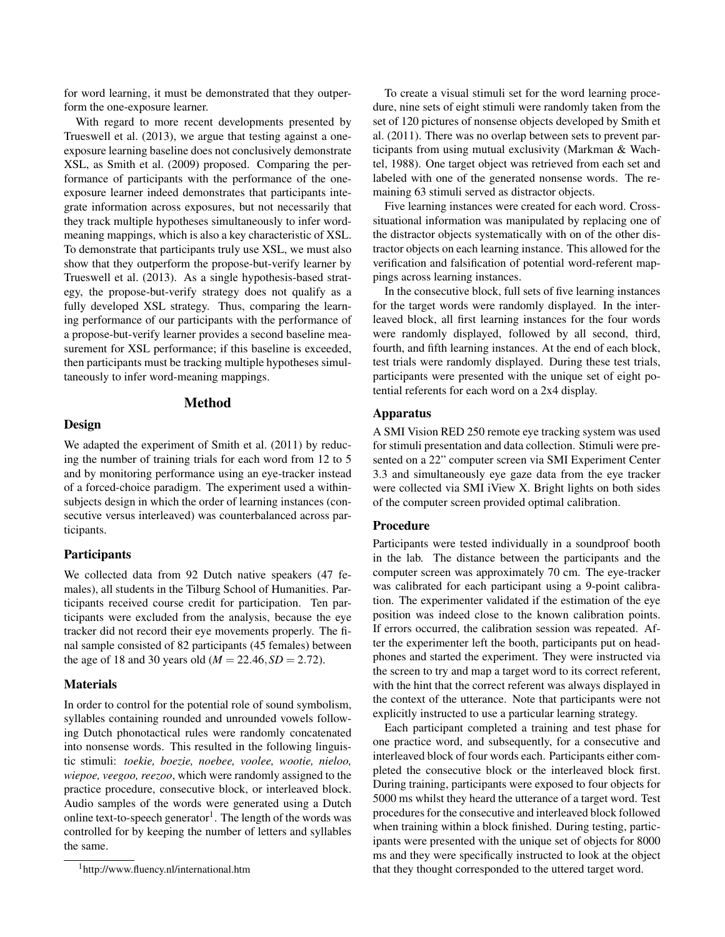for word learning, it must be demonstrated that they outperform the one-exposure learner.

With regard to more recent developments presented by Trueswell et al. (2013), we argue that testing against a oneexposure learning baseline does not conclusively demonstrate XSL, as Smith et al. (2009) proposed. Comparing the performance of participants with the performance of the oneexposure learner indeed demonstrates that participants integrate information across exposures, but not necessarily that they track multiple hypotheses simultaneously to infer wordmeaning mappings, which is also a key characteristic of XSL. To demonstrate that participants truly use XSL, we must also show that they outperform the propose-but-verify learner by Trueswell et al. (2013). As a single hypothesis-based strategy, the propose-but-verify strategy does not qualify as a fully developed XSL strategy. Thus, comparing the learning performance of our participants with the performance of a propose-but-verify learner provides a second baseline measurement for XSL performance; if this baseline is exceeded, then participants must be tracking multiple hypotheses simultaneously to infer word-meaning mappings.

# Method

#### Design

We adapted the experiment of Smith et al. (2011) by reducing the number of training trials for each word from 12 to 5 and by monitoring performance using an eye-tracker instead of a forced-choice paradigm. The experiment used a withinsubjects design in which the order of learning instances (consecutive versus interleaved) was counterbalanced across participants.

#### **Participants**

We collected data from 92 Dutch native speakers (47 females), all students in the Tilburg School of Humanities. Participants received course credit for participation. Ten participants were excluded from the analysis, because the eye tracker did not record their eye movements properly. The final sample consisted of 82 participants (45 females) between the age of 18 and 30 years old ( $M = 22.46$ ,  $SD = 2.72$ ).

## **Materials**

In order to control for the potential role of sound symbolism, syllables containing rounded and unrounded vowels following Dutch phonotactical rules were randomly concatenated into nonsense words. This resulted in the following linguistic stimuli: *toekie, boezie, noebee, voolee, wootie, nieloo, wiepoe, veegoo, reezoo*, which were randomly assigned to the practice procedure, consecutive block, or interleaved block. Audio samples of the words were generated using a Dutch online text-to-speech generator<sup>1</sup>. The length of the words was controlled for by keeping the number of letters and syllables the same.

To create a visual stimuli set for the word learning procedure, nine sets of eight stimuli were randomly taken from the set of 120 pictures of nonsense objects developed by Smith et al. (2011). There was no overlap between sets to prevent participants from using mutual exclusivity (Markman & Wachtel, 1988). One target object was retrieved from each set and labeled with one of the generated nonsense words. The remaining 63 stimuli served as distractor objects.

Five learning instances were created for each word. Crosssituational information was manipulated by replacing one of the distractor objects systematically with on of the other distractor objects on each learning instance. This allowed for the verification and falsification of potential word-referent mappings across learning instances.

In the consecutive block, full sets of five learning instances for the target words were randomly displayed. In the interleaved block, all first learning instances for the four words were randomly displayed, followed by all second, third, fourth, and fifth learning instances. At the end of each block, test trials were randomly displayed. During these test trials, participants were presented with the unique set of eight potential referents for each word on a 2x4 display.

## Apparatus

A SMI Vision RED 250 remote eye tracking system was used for stimuli presentation and data collection. Stimuli were presented on a 22" computer screen via SMI Experiment Center 3.3 and simultaneously eye gaze data from the eye tracker were collected via SMI iView X. Bright lights on both sides of the computer screen provided optimal calibration.

# Procedure

Participants were tested individually in a soundproof booth in the lab. The distance between the participants and the computer screen was approximately 70 cm. The eye-tracker was calibrated for each participant using a 9-point calibration. The experimenter validated if the estimation of the eye position was indeed close to the known calibration points. If errors occurred, the calibration session was repeated. After the experimenter left the booth, participants put on headphones and started the experiment. They were instructed via the screen to try and map a target word to its correct referent, with the hint that the correct referent was always displayed in the context of the utterance. Note that participants were not explicitly instructed to use a particular learning strategy.

Each participant completed a training and test phase for one practice word, and subsequently, for a consecutive and interleaved block of four words each. Participants either completed the consecutive block or the interleaved block first. During training, participants were exposed to four objects for 5000 ms whilst they heard the utterance of a target word. Test procedures for the consecutive and interleaved block followed when training within a block finished. During testing, participants were presented with the unique set of objects for 8000 ms and they were specifically instructed to look at the object that they thought corresponded to the uttered target word.

<sup>1</sup>http://www.fluency.nl/international.htm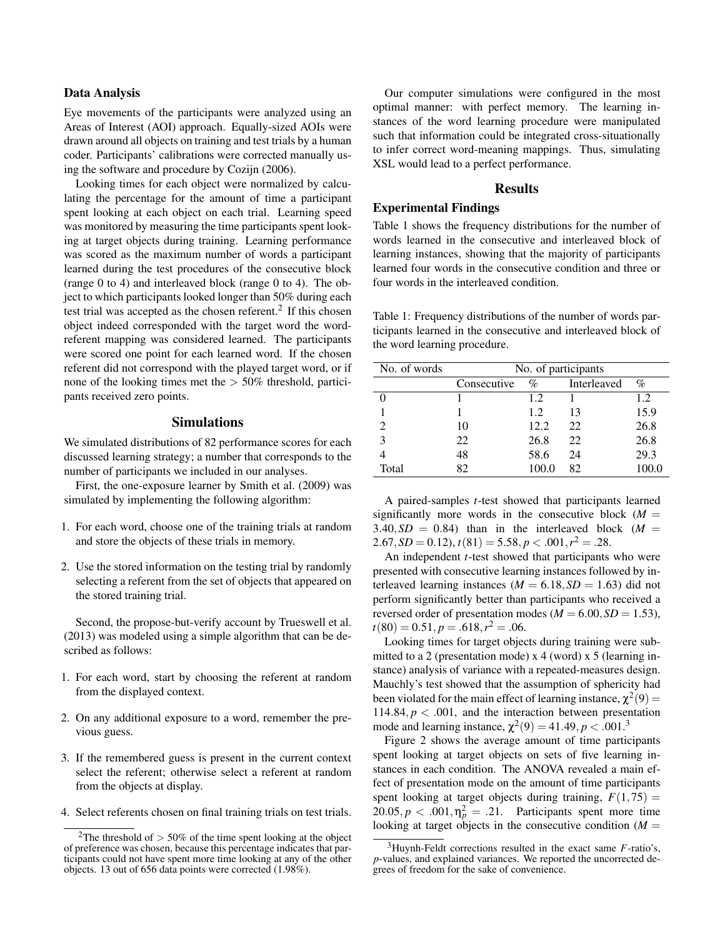### Data Analysis

Eye movements of the participants were analyzed using an Areas of Interest (AOI) approach. Equally-sized AOIs were drawn around all objects on training and test trials by a human coder. Participants' calibrations were corrected manually using the software and procedure by Cozijn (2006).

Looking times for each object were normalized by calculating the percentage for the amount of time a participant spent looking at each object on each trial. Learning speed was monitored by measuring the time participants spent looking at target objects during training. Learning performance was scored as the maximum number of words a participant learned during the test procedures of the consecutive block (range 0 to 4) and interleaved block (range 0 to 4). The object to which participants looked longer than 50% during each test trial was accepted as the chosen referent.<sup>2</sup> If this chosen object indeed corresponded with the target word the wordreferent mapping was considered learned. The participants were scored one point for each learned word. If the chosen referent did not correspond with the played target word, or if none of the looking times met the  $> 50\%$  threshold, participants received zero points.

# Simulations

We simulated distributions of 82 performance scores for each discussed learning strategy; a number that corresponds to the number of participants we included in our analyses.

First, the one-exposure learner by Smith et al. (2009) was simulated by implementing the following algorithm:

- 1. For each word, choose one of the training trials at random and store the objects of these trials in memory.
- 2. Use the stored information on the testing trial by randomly selecting a referent from the set of objects that appeared on the stored training trial.

Second, the propose-but-verify account by Trueswell et al. (2013) was modeled using a simple algorithm that can be described as follows:

- 1. For each word, start by choosing the referent at random from the displayed context.
- 2. On any additional exposure to a word, remember the previous guess.
- 3. If the remembered guess is present in the current context select the referent; otherwise select a referent at random from the objects at display.
- 4. Select referents chosen on final training trials on test trials.

Our computer simulations were configured in the most optimal manner: with perfect memory. The learning instances of the word learning procedure were manipulated such that information could be integrated cross-situationally to infer correct word-meaning mappings. Thus, simulating XSL would lead to a perfect performance.

## Results

# Experimental Findings

Table 1 shows the frequency distributions for the number of words learned in the consecutive and interleaved block of learning instances, showing that the majority of participants learned four words in the consecutive condition and three or four words in the interleaved condition.

Table 1: Frequency distributions of the number of words participants learned in the consecutive and interleaved block of the word learning procedure.

| No. of words | No. of participants |       |             |       |  |
|--------------|---------------------|-------|-------------|-------|--|
|              | Consecutive         | $\%$  | Interleaved | %     |  |
|              |                     | 1.2.  |             | 1.2   |  |
|              |                     | 1.2.  | 13          | 15.9  |  |
|              | 10                  | 12.2  | 22          | 26.8  |  |
|              | 22                  | 26.8  | 22          | 26.8  |  |
|              | 48                  | 58.6  | 24          | 29.3  |  |
| Total        | 82                  | 100.0 | 82          | 100.0 |  |

A paired-samples *t*-test showed that participants learned significantly more words in the consecutive block  $(M =$  $3.40, SD = 0.84$ ) than in the interleaved block ( $M =$  $2.67, SD = 0.12$ ,  $t(81) = 5.58, p < .001, r^2 = .28$ .

An independent *t*-test showed that participants who were presented with consecutive learning instances followed by interleaved learning instances ( $M = 6.18$ ,  $SD = 1.63$ ) did not perform significantly better than participants who received a reversed order of presentation modes ( $M = 6.00$ ,  $SD = 1.53$ ),  $t(80) = 0.51, p = .618, r<sup>2</sup> = .06.$ 

Looking times for target objects during training were submitted to a 2 (presentation mode) x 4 (word) x 5 (learning instance) analysis of variance with a repeated-measures design. Mauchly's test showed that the assumption of sphericity had been violated for the main effect of learning instance,  $\chi^2(9)$  = 114.84,  $p < .001$ , and the interaction between presentation mode and learning instance,  $\chi^2(9) = 41.49, p < .001.3$ 

Figure 2 shows the average amount of time participants spent looking at target objects on sets of five learning instances in each condition. The ANOVA revealed a main effect of presentation mode on the amount of time participants spent looking at target objects during training,  $F(1,75) =$  $20.05, p < .001, \eta_p^2 = .21$ . Participants spent more time looking at target objects in the consecutive condition  $(M =$ 

<sup>&</sup>lt;sup>2</sup>The threshold of  $>$  50% of the time spent looking at the object of preference was chosen, because this percentage indicates that participants could not have spent more time looking at any of the other objects. 13 out of 656 data points were corrected (1.98%).

<sup>3</sup>Huynh-Feldt corrections resulted in the exact same *F*-ratio's, *p*-values, and explained variances. We reported the uncorrected degrees of freedom for the sake of convenience.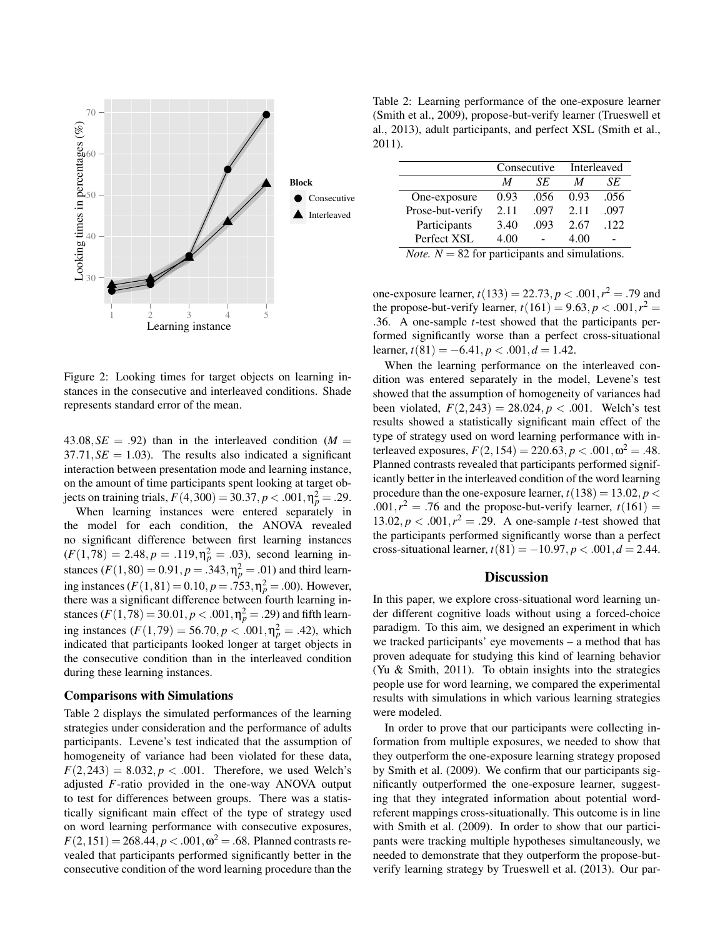

Figure 2: Looking times for target objects on learning instances in the consecutive and interleaved conditions. Shade represents standard error of the mean.

 $43.08, SE = .92$ ) than in the interleaved condition ( $M =$  $37.71, SE = 1.03$ . The results also indicated a significant interaction between presentation mode and learning instance, on the amount of time participants spent looking at target objects on training trials,  $F(4,300) = 30.37, p < .001, \eta_p^2 = .29$ .

When learning instances were entered separately in the model for each condition, the ANOVA revealed no significant difference between first learning instances  $(F(1,78) = 2.48, p = .119, \eta_p^2 = .03)$ , second learning instances  $(F(1,80) = 0.91, p = .343, \eta_p^2 = .01)$  and third learning instances  $(F(1,81) = 0.10, p = .753, \eta_p^2 = .00)$ . However, there was a significant difference between fourth learning instances ( $F(1,78) = 30.01, p < .001, \eta_p^2 = .29$ ) and fifth learning instances  $(F(1, 79) = 56.70, p < .001, \eta_p^2 = .42)$ , which indicated that participants looked longer at target objects in the consecutive condition than in the interleaved condition during these learning instances.

#### Comparisons with Simulations

Table 2 displays the simulated performances of the learning strategies under consideration and the performance of adults participants. Levene's test indicated that the assumption of homogeneity of variance had been violated for these data,  $F(2,243) = 8.032, p < .001$ . Therefore, we used Welch's adjusted *F*-ratio provided in the one-way ANOVA output to test for differences between groups. There was a statistically significant main effect of the type of strategy used on word learning performance with consecutive exposures,  $F(2, 151) = 268.44, p < .001, \omega^2 = .68$ . Planned contrasts revealed that participants performed significantly better in the consecutive condition of the word learning procedure than the

Table 2: Learning performance of the one-exposure learner (Smith et al., 2009), propose-but-verify learner (Trueswell et al., 2013), adult participants, and perfect XSL (Smith et al., 2011).

|                  | Consecutive |      | Interleaved |      |
|------------------|-------------|------|-------------|------|
|                  | M           | SE   | M           | SE   |
| One-exposure     | 0.93        | .056 | 0.93        | .056 |
| Prose-but-verify | 2.11        | .097 | 2.11        | .097 |
| Participants     | 3.40        | .093 | 2.67        | .122 |
| Perfect XSL      | 4.00        |      | 4.00        |      |

*Note.*  $N = 82$  for participants and simulations.

one-exposure learner,  $t(133) = 22.73, p < .001, r^2 = .79$  and the propose-but-verify learner,  $t(161) = 9.63, p < .001, r^2 =$ .36. A one-sample *t*-test showed that the participants performed significantly worse than a perfect cross-situational learner,  $t(81) = -6.41, p < .001, d = 1.42$ .

When the learning performance on the interleaved condition was entered separately in the model, Levene's test showed that the assumption of homogeneity of variances had been violated,  $F(2,243) = 28.024, p < .001$ . Welch's test results showed a statistically significant main effect of the type of strategy used on word learning performance with interleaved exposures,  $F(2, 154) = 220.63, p < .001, \omega^2 = .48$ . Planned contrasts revealed that participants performed significantly better in the interleaved condition of the word learning procedure than the one-exposure learner,  $t(138) = 13.02$ ,  $p <$  $1.001, r^2 = .76$  and the propose-but-verify learner,  $t(161) =$ 13.02,  $p < .001$ ,  $r^2 = .29$ . A one-sample *t*-test showed that the participants performed significantly worse than a perfect cross-situational learner,  $t(81) = -10.97$ ,  $p < .001$ ,  $d = 2.44$ .

#### **Discussion**

In this paper, we explore cross-situational word learning under different cognitive loads without using a forced-choice paradigm. To this aim, we designed an experiment in which we tracked participants' eye movements – a method that has proven adequate for studying this kind of learning behavior (Yu & Smith, 2011). To obtain insights into the strategies people use for word learning, we compared the experimental results with simulations in which various learning strategies were modeled.

In order to prove that our participants were collecting information from multiple exposures, we needed to show that they outperform the one-exposure learning strategy proposed by Smith et al. (2009). We confirm that our participants significantly outperformed the one-exposure learner, suggesting that they integrated information about potential wordreferent mappings cross-situationally. This outcome is in line with Smith et al. (2009). In order to show that our participants were tracking multiple hypotheses simultaneously, we needed to demonstrate that they outperform the propose-butverify learning strategy by Trueswell et al. (2013). Our par